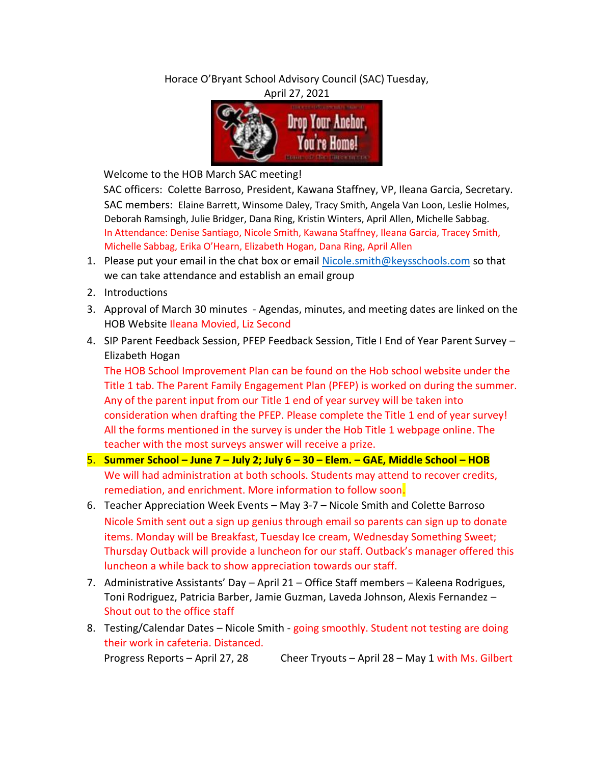Horace O'Bryant School Advisory Council (SAC) Tuesday,

April 27, 2021



Welcome to the HOB March SAC meeting!

SAC officers: Colette Barroso, President, Kawana Staffney, VP, Ileana Garcia, Secretary. SAC members: Elaine Barrett, Winsome Daley, Tracy Smith, Angela Van Loon, Leslie Holmes, Deborah Ramsingh, Julie Bridger, Dana Ring, Kristin Winters, April Allen, Michelle Sabbag. In Attendance: Denise Santiago, Nicole Smith, Kawana Staffney, Ileana Garcia, Tracey Smith, Michelle Sabbag, Erika O'Hearn, Elizabeth Hogan, Dana Ring, April Allen

- 1. Please put your email in the chat box or email Nicole.smith@keysschools.com so that we can take attendance and establish an email group
- 2. Introductions
- 3. Approval of March 30 minutes Agendas, minutes, and meeting dates are linked on the HOB Website Ileana Movied, Liz Second
- 4. SIP Parent Feedback Session, PFEP Feedback Session, Title I End of Year Parent Survey Elizabeth Hogan

The HOB School Improvement Plan can be found on the Hob school website under the Title 1 tab. The Parent Family Engagement Plan (PFEP) is worked on during the summer. Any of the parent input from our Title 1 end of year survey will be taken into consideration when drafting the PFEP. Please complete the Title 1 end of year survey! All the forms mentioned in the survey is under the Hob Title 1 webpage online. The teacher with the most surveys answer will receive a prize.

- 5. **Summer School – June 7 – July 2; July 6 – 30 – Elem. – GAE, Middle School – HOB**  We will had administration at both schools. Students may attend to recover credits, remediation, and enrichment. More information to follow soon.
- 6. Teacher Appreciation Week Events May 3-7 Nicole Smith and Colette Barroso Nicole Smith sent out a sign up genius through email so parents can sign up to donate items. Monday will be Breakfast, Tuesday Ice cream, Wednesday Something Sweet; Thursday Outback will provide a luncheon for our staff. Outback's manager offered this luncheon a while back to show appreciation towards our staff.
- 7. Administrative Assistants' Day April 21 Office Staff members Kaleena Rodrigues, Toni Rodriguez, Patricia Barber, Jamie Guzman, Laveda Johnson, Alexis Fernandez – Shout out to the office staff
- 8. Testing/Calendar Dates Nicole Smith going smoothly. Student not testing are doing their work in cafeteria. Distanced.

Progress Reports – April 27, 28 Cheer Tryouts – April 28 – May 1 with Ms. Gilbert